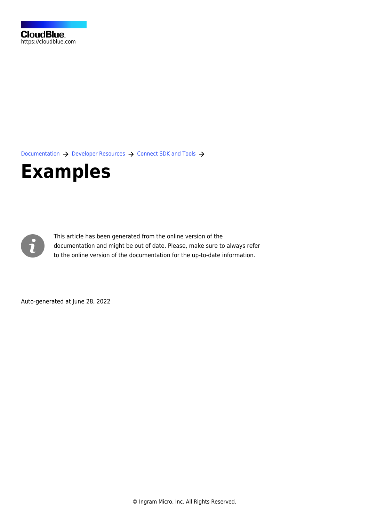

[Documentation](https://connect.cloudblue.com/documentation)  $\rightarrow$  [Developer Resources](https://connect.cloudblue.com/community/developers/)  $\rightarrow$  [Connect SDK and Tools](https://connect.cloudblue.com/community/developers/sdk/)  $\rightarrow$ 

## **[Examples](https://connect.cloudblue.com/community/developers/sdk/vendor-scenario-example/)**



This article has been generated from the online version of the documentation and might be out of date. Please, make sure to always refer to the online version of the documentation for the up-to-date information.

Auto-generated at June 28, 2022